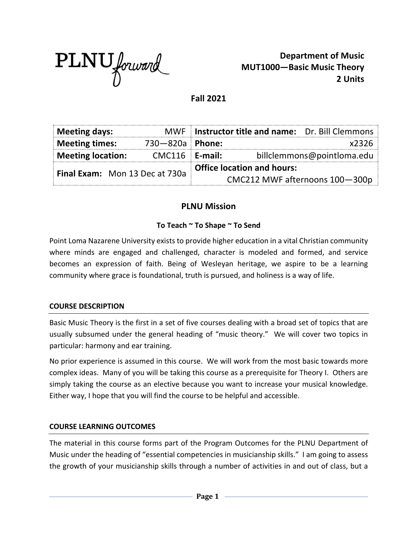

**Department of Music MUT1000—Basic Music Theory 2 Units**

## **Fall 2021**

| <b>Meeting days:</b>           |                  | MWF Instructor title and name: Dr. Bill Clemmons |
|--------------------------------|------------------|--------------------------------------------------|
| <b>Meeting times:</b>          | 730-820a Phone:  | x2326                                            |
| <b>Meeting location:</b>       | $CMC116$ E-mail: | billclemmons@pointloma.edu                       |
| Final Exam: Mon 13 Dec at 730a |                  | <b>Office location and hours:</b>                |
|                                |                  | CMC212 MWF afternoons 100-300p                   |

# **PLNU Mission**

## **To Teach ~ To Shape ~ To Send**

Point Loma Nazarene University exists to provide higher education in a vital Christian community where minds are engaged and challenged, character is modeled and formed, and service becomes an expression of faith. Being of Wesleyan heritage, we aspire to be a learning community where grace is foundational, truth is pursued, and holiness is a way of life.

## **COURSE DESCRIPTION**

Basic Music Theory is the first in a set of five courses dealing with a broad set of topics that are usually subsumed under the general heading of "music theory." We will cover two topics in particular: harmony and ear training.

No prior experience is assumed in this course. We will work from the most basic towards more complex ideas. Many of you will be taking this course as a prerequisite for Theory I. Others are simply taking the course as an elective because you want to increase your musical knowledge. Either way, I hope that you will find the course to be helpful and accessible.

## **COURSE LEARNING OUTCOMES**

The material in this course forms part of the Program Outcomes for the PLNU Department of Music under the heading of "essential competencies in musicianship skills." I am going to assess the growth of your musicianship skills through a number of activities in and out of class, but a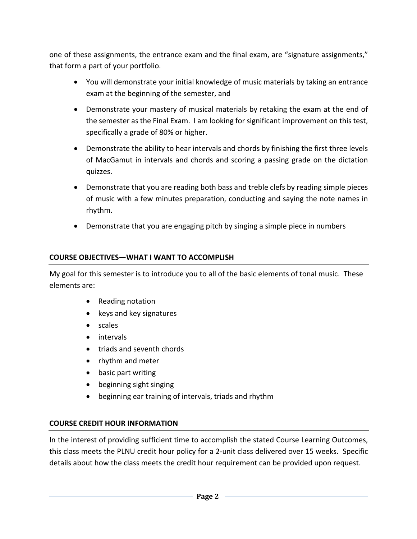one of these assignments, the entrance exam and the final exam, are "signature assignments," that form a part of your portfolio.

- You will demonstrate your initial knowledge of music materials by taking an entrance exam at the beginning of the semester, and
- Demonstrate your mastery of musical materials by retaking the exam at the end of the semester as the Final Exam. I am looking for significant improvement on this test, specifically a grade of 80% or higher.
- Demonstrate the ability to hear intervals and chords by finishing the first three levels of MacGamut in intervals and chords and scoring a passing grade on the dictation quizzes.
- Demonstrate that you are reading both bass and treble clefs by reading simple pieces of music with a few minutes preparation, conducting and saying the note names in rhythm.
- Demonstrate that you are engaging pitch by singing a simple piece in numbers

## **COURSE OBJECTIVES—WHAT I WANT TO ACCOMPLISH**

My goal for this semester is to introduce you to all of the basic elements of tonal music. These elements are:

- Reading notation
- keys and key signatures
- scales
- intervals
- triads and seventh chords
- rhythm and meter
- basic part writing
- beginning sight singing
- beginning ear training of intervals, triads and rhythm

## **COURSE CREDIT HOUR INFORMATION**

In the interest of providing sufficient time to accomplish the stated Course Learning Outcomes, this class meets the PLNU credit hour policy for a 2-unit class delivered over 15 weeks. Specific details about how the class meets the credit hour requirement can be provided upon request.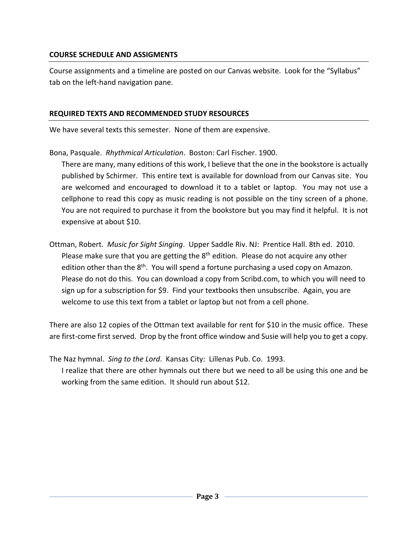## **COURSE SCHEDULE AND ASSIGMENTS**

Course assignments and a timeline are posted on our Canvas website. Look for the "Syllabus" tab on the left-hand navigation pane.

## **REQUIRED TEXTS AND RECOMMENDED STUDY RESOURCES**

We have several texts this semester. None of them are expensive.

Bona, Pasquale. *Rhythmical Articulation*. Boston: Carl Fischer. 1900.

There are many, many editions of this work, I believe that the one in the bookstore is actually published by Schirmer. This entire text is available for download from our Canvas site. You are welcomed and encouraged to download it to a tablet or laptop. You may not use a cellphone to read this copy as music reading is not possible on the tiny screen of a phone. You are not required to purchase it from the bookstore but you may find it helpful. It is not expensive at about \$10.

Ottman, Robert. *Music for Sight Singing*. Upper Saddle Riv. NJ: Prentice Hall. 8th ed. 2010. Please make sure that you are getting the  $8<sup>th</sup>$  edition. Please do not acquire any other edition other than the  $8<sup>th</sup>$ . You will spend a fortune purchasing a used copy on Amazon. Please do not do this. You can download a copy from Scribd.com, to which you will need to sign up for a subscription for \$9. Find your textbooks then unsubscribe. Again, you are welcome to use this text from a tablet or laptop but not from a cell phone.

There are also 12 copies of the Ottman text available for rent for \$10 in the music office. These are first-come first served. Drop by the front office window and Susie will help you to get a copy.

The Naz hymnal. *Sing to the Lord*. Kansas City: Lillenas Pub. Co. 1993. I realize that there are other hymnals out there but we need to all be using this one and be working from the same edition. It should run about \$12.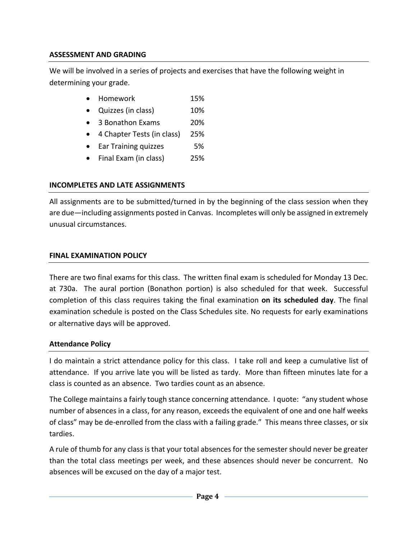# **ASSESSMENT AND GRADING**

We will be involved in a series of projects and exercises that have the following weight in determining your grade.

- Homework 15%
- Quizzes (in class) 10%
- 3 Bonathon Exams 20%
- 4 Chapter Tests (in class) 25%
- Ear Training quizzes 5%
- Final Exam (in class) 25%

# **INCOMPLETES AND LATE ASSIGNMENTS**

All assignments are to be submitted/turned in by the beginning of the class session when they are due—including assignments posted in Canvas. Incompletes will only be assigned in extremely unusual circumstances.

## **FINAL EXAMINATION POLICY**

There are two final exams for this class. The written final exam is scheduled for Monday 13 Dec. at 730a. The aural portion (Bonathon portion) is also scheduled for that week. Successful completion of this class requires taking the final examination **on its scheduled day**. The final examination schedule is posted on the Class Schedules site. No requests for early examinations or alternative days will be approved.

## **Attendance Policy**

I do maintain a strict attendance policy for this class. I take roll and keep a cumulative list of attendance. If you arrive late you will be listed as tardy. More than fifteen minutes late for a class is counted as an absence. Two tardies count as an absence.

The College maintains a fairly tough stance concerning attendance. I quote: "any student whose number of absences in a class, for any reason, exceeds the equivalent of one and one half weeks of class" may be de-enrolled from the class with a failing grade." This means three classes, or six tardies.

A rule of thumb for any class is that your total absences for the semester should never be greater than the total class meetings per week, and these absences should never be concurrent. No absences will be excused on the day of a major test.